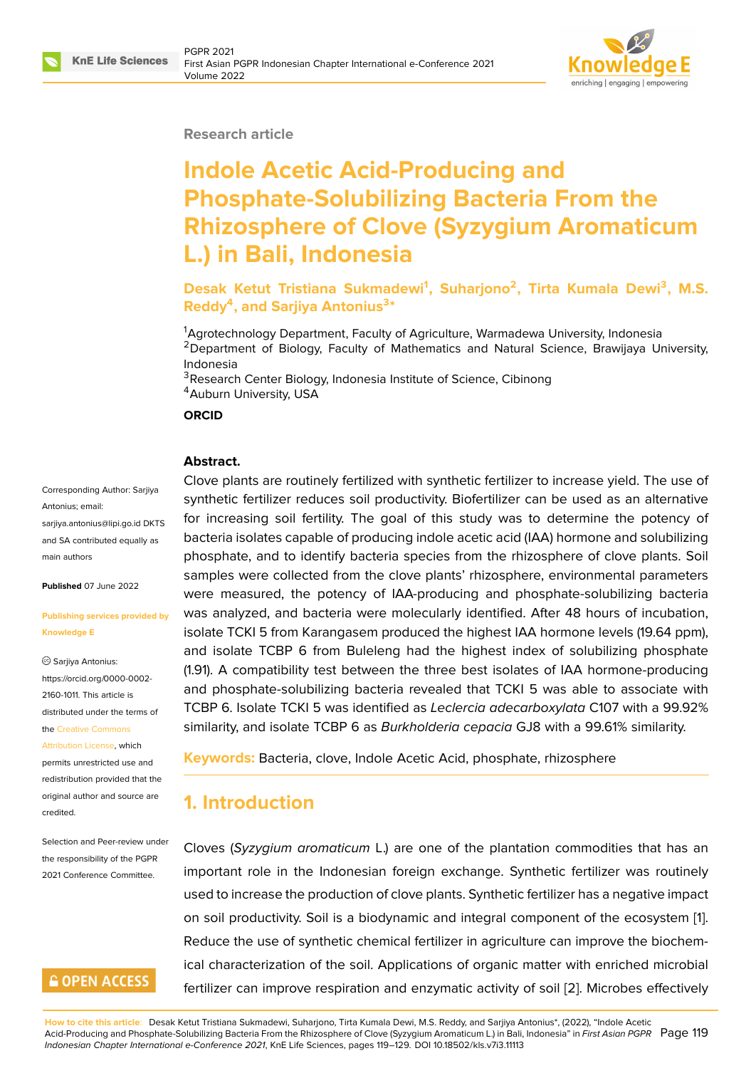

#### **Research article**

# **Indole Acetic Acid-Producing and Phosphate-Solubilizing Bacteria From the Rhizosphere of Clove (Syzygium Aromaticum L.) in Bali, Indonesia**

**Desak Ketut Tristiana Sukmadewi<sup>1</sup> , Suharjono<sup>2</sup> , Tirta Kumala Dewi<sup>3</sup> , M.S. Reddy<sup>4</sup> , and Sarjiya Antonius<sup>3</sup> \***

<sup>1</sup>Agrotechnology Department, Faculty of Agriculture, Warmadewa University, Indonesia <sup>2</sup>Department of Biology, Faculty of Mathematics and Natural Science, Brawijaya University, Indonesia

<sup>3</sup>Research Center Biology, Indonesia Institute of Science, Cibinong <sup>4</sup> Auburn University, USA

**ORCID**

#### **Abstract.**

#### Corresponding Author: Sarjiya Antonius; email: sarjiya.antonius@lipi.go.id DKTS and SA contributed equally as main authors

**Published** [07 June 2022](mailto:sarjiya.antonius@lipi.go.id)

#### **Publishing services provided by Knowledge E**

Sarjiya Antonius: https://orcid.org/0000-0002- 2160-1011. This article is distributed under the terms of the Creative Commons Attribution License, which

permits unrestricted use and redistribution provided that the orig[inal author and sou](https://creativecommons.org/licenses/by/4.0/)rce are [credited.](https://creativecommons.org/licenses/by/4.0/)

Selection and Peer-review under the responsibility of the PGPR 2021 Conference Committee.

#### **GOPEN ACCESS**

Clove plants are routinely fertilized with synthetic fertilizer to increase yield. The use of synthetic fertilizer reduces soil productivity. Biofertilizer can be used as an alternative for increasing soil fertility. The goal of this study was to determine the potency of bacteria isolates capable of producing indole acetic acid (IAA) hormone and solubilizing phosphate, and to identify bacteria species from the rhizosphere of clove plants. Soil samples were collected from the clove plants' rhizosphere, environmental parameters were measured, the potency of IAA-producing and phosphate-solubilizing bacteria was analyzed, and bacteria were molecularly identified. After 48 hours of incubation, isolate TCKI 5 from Karangasem produced the highest IAA hormone levels (19.64 ppm), and isolate TCBP 6 from Buleleng had the highest index of solubilizing phosphate (1.91). A compatibility test between the three best isolates of IAA hormone-producing and phosphate-solubilizing bacteria revealed that TCKI 5 was able to associate with TCBP 6. Isolate TCKI 5 was identified as *Leclercia adecarboxylata* C107 with a 99.92% similarity, and isolate TCBP 6 as *Burkholderia cepacia* GJ8 with a 99.61% similarity.

**Keywords:** Bacteria, clove, Indole Acetic Acid, phosphate, rhizosphere

## **1. Introduction**

Cloves (*Syzygium aromaticum* L.) are one of the plantation commodities that has an important role in the Indonesian foreign exchange. Synthetic fertilizer was routinely used to increase the production of clove plants. Synthetic fertilizer has a negative impact on soil productivity. Soil is a biodynamic and integral component of the ecosystem [1]. Reduce the use of synthetic chemical fertilizer in agriculture can improve the biochemical characterization of the soil. Applications of organic matter with enriched microbial fertilizer can improve respiration and enzymatic activity of soil [2]. Microbes effectiv[ely](#page-8-0)

**How to cite this article**: Desak Ketut Tristiana Sukmadewi, Suharjono, Tirta Kumala Dewi, M.S. Reddy, and Sarjiya Antonius\*, (2022), "Indole Acetic Acid-Producing and Phosphate-Solubilizing Bacteria From the Rhizosphere of Clove (Syzygium Aromaticum L.) in Bali, Indonesia" in *First Asian PGPR* Page 119 *Indonesian Chapter International e-Conference 2021*, KnE Life Sciences, pages 119–129. DOI 10.18502/kls.v7i3.11113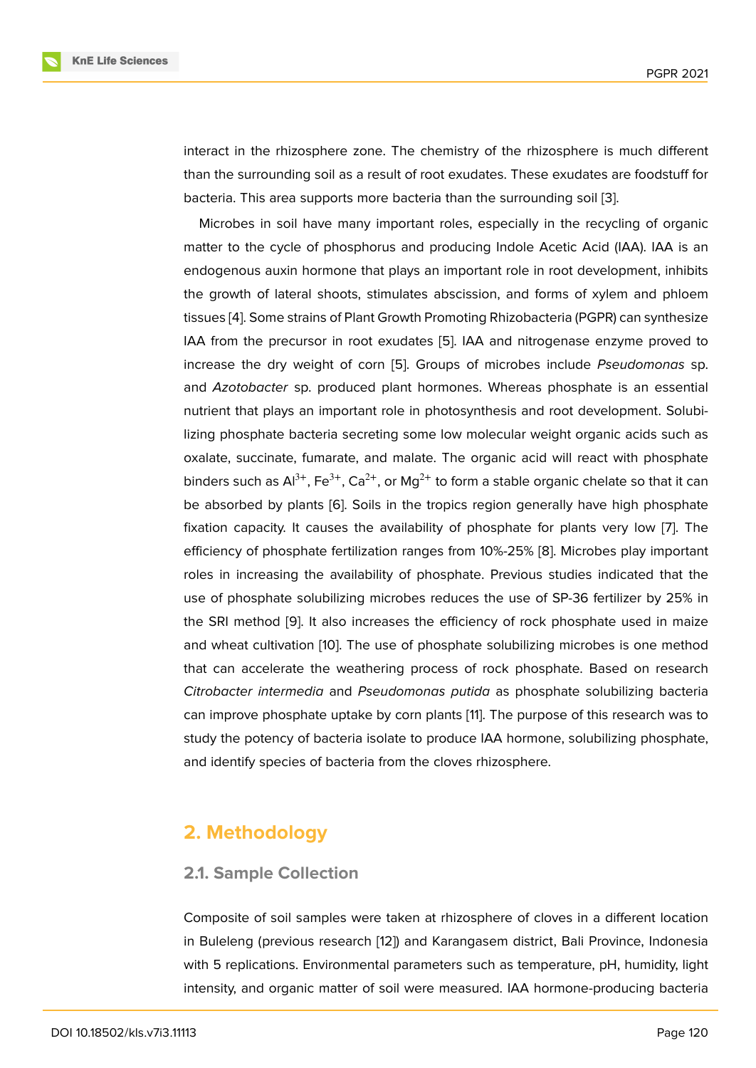interact in the rhizosphere zone. The chemistry of the rhizosphere is much different than the surrounding soil as a result of root exudates. These exudates are foodstuff for bacteria. This area supports more bacteria than the surrounding soil [3].

Microbes in soil have many important roles, especially in the recycling of organic matter to the cycle of phosphorus and producing Indole Acetic Acid (IAA). IAA is an endogenous auxin hormone that plays an important role in root dev[elo](#page-8-1)pment, inhibits the growth of lateral shoots, stimulates abscission, and forms of xylem and phloem tissues [4]. Some strains of Plant Growth Promoting Rhizobacteria (PGPR) can synthesize IAA from the precursor in root exudates [5]. IAA and nitrogenase enzyme proved to increase the dry weight of corn [5]. Groups of microbes include *Pseudomonas* sp. and *Az[ot](#page-8-2)obacter* sp. produced plant hormones. Whereas phosphate is an essential nutrient that plays an important role in ph[ot](#page-8-3)osynthesis and root development. Solubilizing phosphate bacteria secretin[g s](#page-8-3)ome low molecular weight organic acids such as oxalate, succinate, fumarate, and malate. The organic acid will react with phosphate binders such as  $Al^{3+}$ , Fe<sup>3+</sup>, Ca<sup>2+</sup>, or Mg<sup>2+</sup> to form a stable organic chelate so that it can be absorbed by plants [6]. Soils in the tropics region generally have high phosphate fixation capacity. It causes the availability of phosphate for plants very low [7]. The efficiency of phosphate fertilization ranges from 10%-25% [8]. Microbes play important roles in increasing the [av](#page-8-4)ailability of phosphate. Previous studies indicated that the use of phosphate solubilizing microbes reduces the use of SP-36 fertilizer by [2](#page-8-5)5% in the SRI method [9]. It also increases the efficiency of roc[k](#page-9-0) phosphate used in maize and wheat cultivation [10]. The use of phosphate solubilizing microbes is one method that can accelerate the weathering process of rock phosphate. Based on research *Citrobacter inter[me](#page-9-1)dia* and *Pseudomonas putida* as phosphate solubilizing bacteria can improve phosphat[e u](#page-9-2)ptake by corn plants [11]. The purpose of this research was to study the potency of bacteria isolate to produce IAA hormone, solubilizing phosphate, and identify species of bacteria from the cloves rhizosphere.

# **2. Methodology**

#### **2.1. Sample Collection**

Composite of soil samples were taken at rhizosphere of cloves in a different location in Buleleng (previous research [12]) and Karangasem district, Bali Province, Indonesia with 5 replications. Environmental parameters such as temperature, pH, humidity, light intensity, and organic matter of soil were measured. IAA hormone-producing bacteria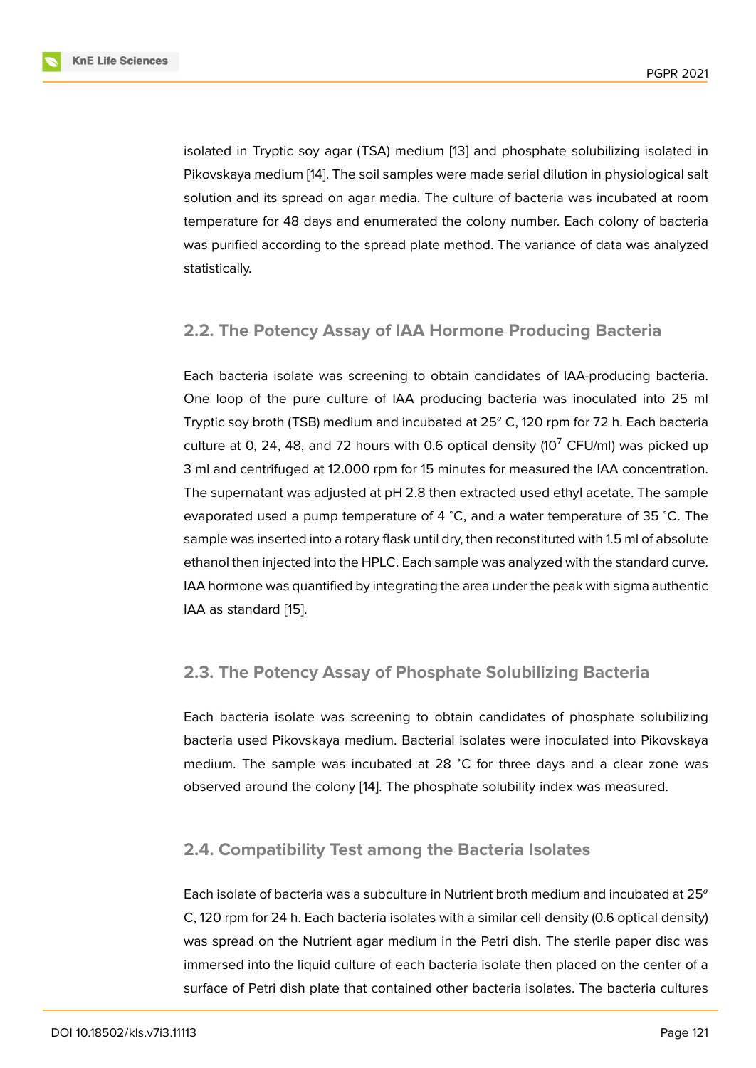isolated in Tryptic soy agar (TSA) medium [13] and phosphate solubilizing isolated in Pikovskaya medium [14]. The soil samples were made serial dilution in physiological salt solution and its spread on agar media. The culture of bacteria was incubated at room temperature for 48 days and enumerated t[he](#page-9-3) colony number. Each colony of bacteria was purified accordi[ng](#page-9-4) to the spread plate method. The variance of data was analyzed statistically.

#### **2.2. The Potency Assay of IAA Hormone Producing Bacteria**

Each bacteria isolate was screening to obtain candidates of IAA-producing bacteria. One loop of the pure culture of IAA producing bacteria was inoculated into 25 ml Tryptic soy broth (TSB) medium and incubated at  $25^{\circ}$  C, 120 rpm for 72 h. Each bacteria culture at 0, 24, 48, and 72 hours with 0.6 optical density (10<sup>7</sup> CFU/ml) was picked up 3 ml and centrifuged at 12.000 rpm for 15 minutes for measured the IAA concentration. The supernatant was adjusted at pH 2.8 then extracted used ethyl acetate. The sample evaporated used a pump temperature of 4 <sup>∘</sup>C, and a water temperature of 35 <sup>∘</sup>C. The sample was inserted into a rotary flask until dry, then reconstituted with 1.5 ml of absolute ethanol then injected into the HPLC. Each sample was analyzed with the standard curve. IAA hormone was quantified by integrating the area under the peak with sigma authentic IAA as standard [15].

#### **2.3. The Pot[enc](#page-9-5)y Assay of Phosphate Solubilizing Bacteria**

Each bacteria isolate was screening to obtain candidates of phosphate solubilizing bacteria used Pikovskaya medium. Bacterial isolates were inoculated into Pikovskaya medium. The sample was incubated at 28 <sup>∘</sup>C for three days and a clear zone was observed around the colony [14]. The phosphate solubility index was measured.

#### **2.4. Compatibility Test [a](#page-9-4)mong the Bacteria Isolates**

Each isolate of bacteria was a subculture in Nutrient broth medium and incubated at 25<sup>°</sup> C, 120 rpm for 24 h. Each bacteria isolates with a similar cell density (0.6 optical density) was spread on the Nutrient agar medium in the Petri dish. The sterile paper disc was immersed into the liquid culture of each bacteria isolate then placed on the center of a surface of Petri dish plate that contained other bacteria isolates. The bacteria cultures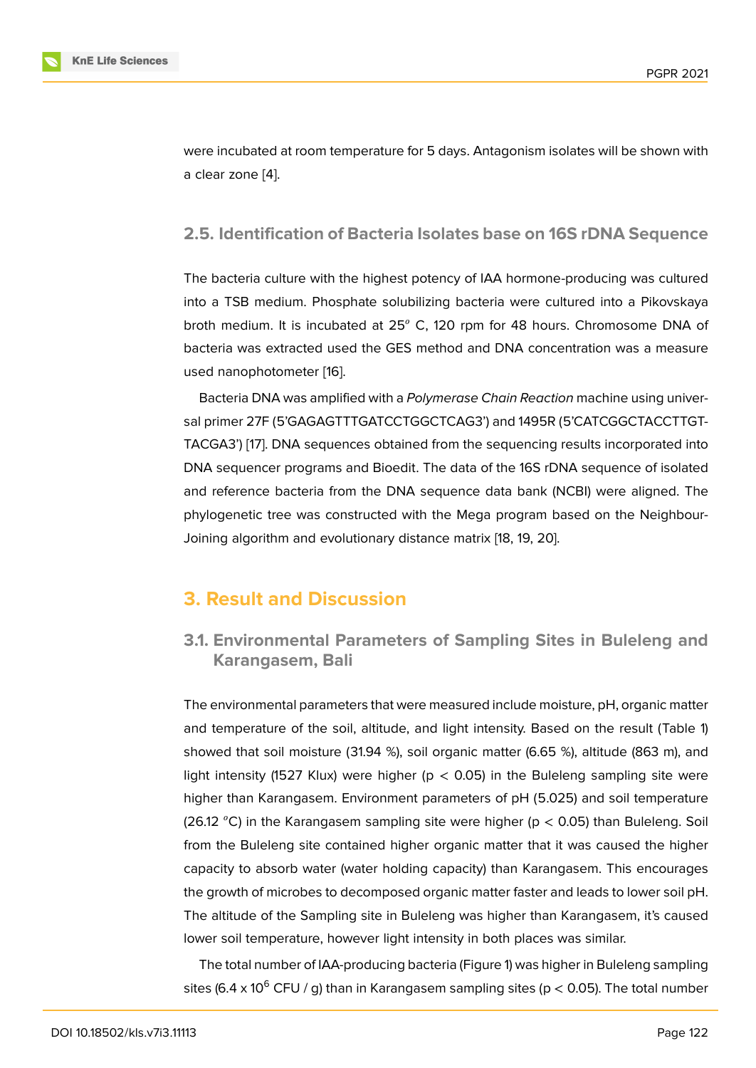were incubated at room temperature for 5 days. Antagonism isolates will be shown with a clear zone [4].

#### **2.5. Identi[fi](#page-8-2)cation of Bacteria Isolates base on 16S rDNA Sequence**

The bacteria culture with the highest potency of IAA hormone-producing was cultured into a TSB medium. Phosphate solubilizing bacteria were cultured into a Pikovskaya broth medium. It is incubated at 25° C, 120 rpm for 48 hours. Chromosome DNA of bacteria was extracted used the GES method and DNA concentration was a measure used nanophotometer [16].

Bacteria DNA was amplified with a *Polymerase Chain Reaction* machine using universal primer 27F (5'GAGAGTTTGATCCTGGCTCAG3') and 1495R (5'CATCGGCTACCTTGT-TACGA3') [17]. DNA se[que](#page-9-6)nces obtained from the sequencing results incorporated into DNA sequencer programs and Bioedit. The data of the 16S rDNA sequence of isolated and reference bacteria from the DNA sequence data bank (NCBI) were aligned. The phylogene[tic](#page-9-7) tree was constructed with the Mega program based on the Neighbour-Joining algorithm and evolutionary distance matrix [18, 19, 20].

# **3. Result and Discussion**

## **3.1. Environmental Parameters of Sampling Sites in Buleleng and Karangasem, Bali**

The environmental parameters that were measured include moisture, pH, organic matter and temperature of the soil, altitude, and light intensity. Based on the result (Table 1) showed that soil moisture (31.94 %), soil organic matter (6.65 %), altitude (863 m), and light intensity (1527 Klux) were higher ( $p < 0.05$ ) in the Buleleng sampling site were higher than Karangasem. Environment parameters of pH (5.025) and soil temperature (26.12 °C) in the Karangasem sampling site were higher ( $p < 0.05$ ) than Buleleng. Soil from the Buleleng site contained higher organic matter that it was caused the higher capacity to absorb water (water holding capacity) than Karangasem. This encourages the growth of microbes to decomposed organic matter faster and leads to lower soil pH. The altitude of the Sampling site in Buleleng was higher than Karangasem, it's caused lower soil temperature, however light intensity in both places was similar.

The total number of IAA-producing bacteria (Figure 1) was higher in Buleleng sampling sites (6.4 x 10<sup>6</sup> CFU / g) than in Karangasem sampling sites (p < 0.05). The total number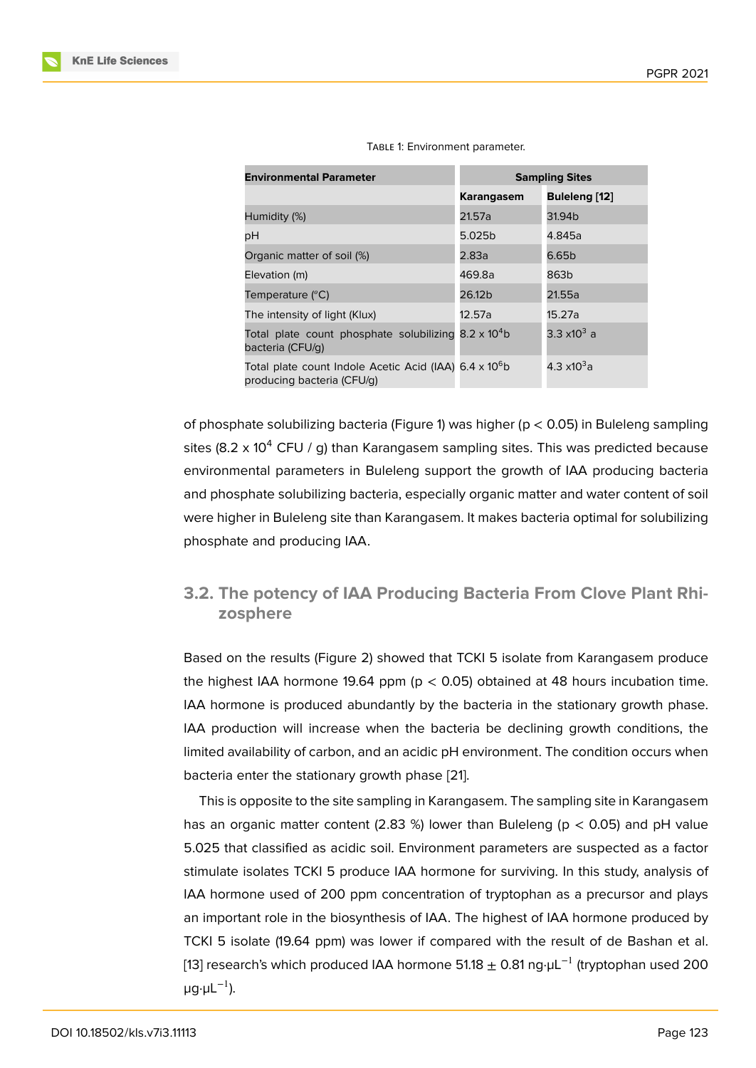| <b>Environmental Parameter</b>                                                                   | <b>Sampling Sites</b> |                        |
|--------------------------------------------------------------------------------------------------|-----------------------|------------------------|
|                                                                                                  | Karangasem            | Buleleng [12]          |
| Humidity (%)                                                                                     | 21.57a                | 31.94b                 |
| рH                                                                                               | 5.025b                | 4.845a                 |
| Organic matter of soil (%)                                                                       | 2.83a                 | 6.65b                  |
| Elevation (m)                                                                                    | 469.8a                | 863b                   |
| Temperature $(^{\circ}C)$                                                                        | 26.12b                | 21.55a                 |
| The intensity of light (Klux)                                                                    | 12.57a                | 15.27a                 |
| Total plate count phosphate solubilizing $8.2 \times 10^4$ b<br>bacteria (CFU/q)                 |                       | 3.3 x10 <sup>3</sup> a |
| Total plate count Indole Acetic Acid (IAA) 6.4 x 10 <sup>6</sup> b<br>producing bacteria (CFU/g) |                       | 4.3 x10 $3a$           |

TABLE 1: Environment parameter.

of phosphate solubilizing bacteria (Figure 1) was higher (p < 0.05) in Buleleng sampling sites (8.2 x 10<sup>4</sup> CFU / g) than Karangasem sampling sites. This was predicted because environmental parameters in Buleleng support the growth of IAA producing bacteria and phosphate solubilizing bacteria, espe[c](#page-5-0)ially organic matter and water content of soil were higher in Buleleng site than Karangasem. It makes bacteria optimal for solubilizing phosphate and producing IAA.

## **3.2. The potency of IAA Producing Bacteria From Clove Plant Rhizosphere**

Based on the results (Figure 2) showed that TCKI 5 isolate from Karangasem produce the highest IAA hormone 19.64 ppm ( $p < 0.05$ ) obtained at 48 hours incubation time. IAA hormone is produced abundantly by the bacteria in the stationary growth phase. IAA production will increase [w](#page-6-0)hen the bacteria be declining growth conditions, the limited availability of carbon, and an acidic pH environment. The condition occurs when bacteria enter the stationary growth phase [21].

This is opposite to the site sampling in Karangasem. The sampling site in Karangasem has an organic matter content (2.83 %) lower than Buleleng ( $p < 0.05$ ) and pH value 5.025 that classified as acidic soil. Environ[me](#page-10-0)nt parameters are suspected as a factor stimulate isolates TCKI 5 produce IAA hormone for surviving. In this study, analysis of IAA hormone used of 200 ppm concentration of tryptophan as a precursor and plays an important role in the biosynthesis of IAA. The highest of IAA hormone produced by TCKI 5 isolate (19.64 ppm) was lower if compared with the result of de Bashan et al. [13] research's which produced IAA hormone 51.18  $\pm$  0.81 ng· $\mu$ L<sup>-1</sup> (tryptophan used 200  $\mu$ g· $\mu$ L<sup>-1</sup>).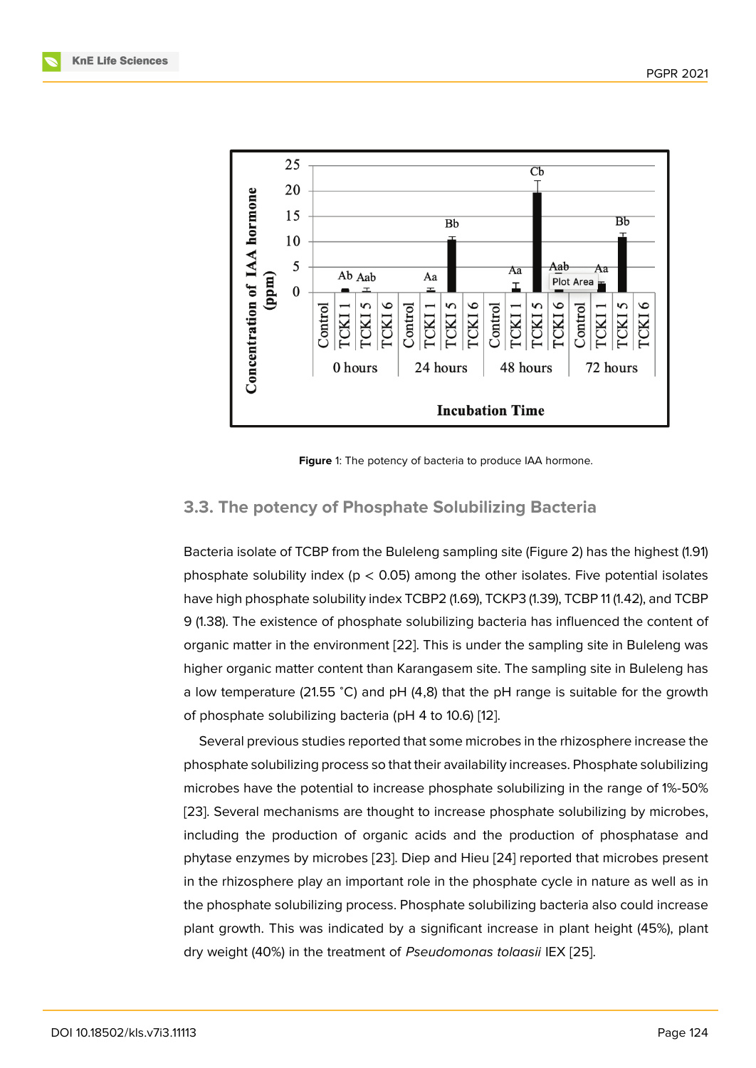

<span id="page-5-0"></span>**Figure** 1: The potency of bacteria to produce IAA hormone.

#### **3.3. The potency of Phosphate Solubilizing Bacteria**

Bacteria isolate of TCBP from the Buleleng sampling site (Figure 2) has the highest (1.91) phosphate solubility index ( $p < 0.05$ ) among the other isolates. Five potential isolates have high phosphate solubility index TCBP2 (1.69), TCKP3 (1.39), TCBP 11 (1.42), and TCBP 9 (1.38). The existence of phosphate solubilizing bacteria has inf[lu](#page-6-0)enced the content of organic matter in the environment [22]. This is under the sampling site in Buleleng was higher organic matter content than Karangasem site. The sampling site in Buleleng has a low temperature (21.55 <sup>∘</sup>C) and pH (4,8) that the pH range is suitable for the growth of phosphate solubilizing bacteria ([pH](#page-10-1) 4 to 10.6) [12].

Several previous studies reported that some microbes in the rhizosphere increase the phosphate solubilizing process so that their availability increases. Phosphate solubilizing microbes have the potential to increase phosph[ate](#page-9-8) solubilizing in the range of 1%-50% [23]. Several mechanisms are thought to increase phosphate solubilizing by microbes, including the production of organic acids and the production of phosphatase and phytase enzymes by microbes [23]. Diep and Hieu [24] reported that microbes present i[n th](#page-10-2)e rhizosphere play an important role in the phosphate cycle in nature as well as in the phosphate solubilizing process. Phosphate solubilizing bacteria also could increase plant growth. This was indicat[ed b](#page-10-2)y a significant i[ncre](#page-10-3)ase in plant height (45%), plant dry weight (40%) in the treatment of *Pseudomonas tolaasii* IEX [25].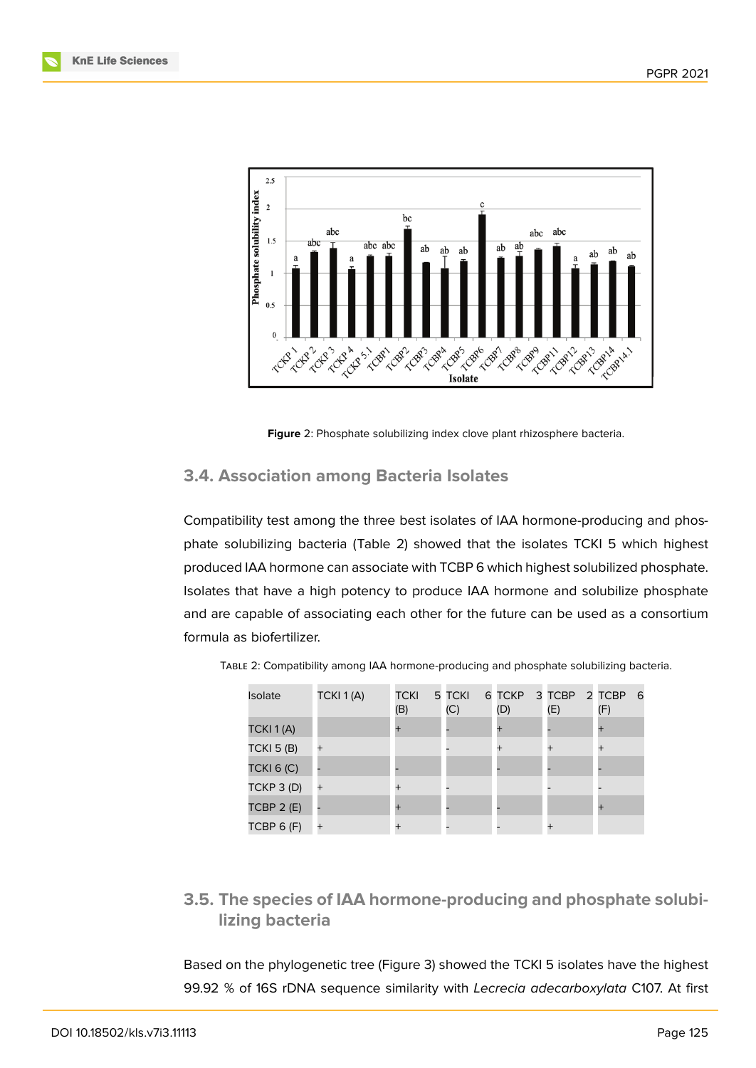

<span id="page-6-0"></span>**Figure** 2: Phosphate solubilizing index clove plant rhizosphere bacteria.

#### **3.4. Association among Bacteria Isolates**

Compatibility test among the three best isolates of IAA hormone-producing and phosphate solubilizing bacteria (Table 2) showed that the isolates TCKI 5 which highest produced IAA hormone can associate with TCBP 6 which highest solubilized phosphate. Isolates that have a high potency to produce IAA hormone and solubilize phosphate and are capable of associating each other for the future can be used as a consortium formula as biofertilizer.

| Isolate           | TCKI 1(A) | <b>TCKI</b><br>(B) | 5 TCKI<br>(C) | (D)       | 6 TCKP 3 TCBP 2 TCBP<br>(E) | -6<br>(F) |
|-------------------|-----------|--------------------|---------------|-----------|-----------------------------|-----------|
| TCKI 1(A)         |           | $\ddot{}$          |               | $\pm$     |                             |           |
| <b>TCKI 5 (B)</b> |           |                    |               | $\ddot{}$ |                             | $\ddot{}$ |
| <b>TCKI 6 (C)</b> |           |                    |               |           |                             |           |
| TCKP 3 (D)        | $^{+}$    | $\overline{+}$     |               |           |                             |           |
| TCBP $2(E)$       |           | $\ddot{}$          |               |           |                             |           |
| TCBP 6 (F)        |           |                    |               |           |                             |           |

| TABLE 2: Compatibility among IAA hormone-producing and phosphate solubilizing bacteria. |  |  |  |  |
|-----------------------------------------------------------------------------------------|--|--|--|--|
|-----------------------------------------------------------------------------------------|--|--|--|--|

**3.5. The species of IAA hormone-producing and phosphate solubilizing bacteria**

Based on the phylogenetic tree (Figure 3) showed the TCKI 5 isolates have the highest 99.92 % of 16S rDNA sequence similarity with *Lecrecia adecarboxylata* C107. At first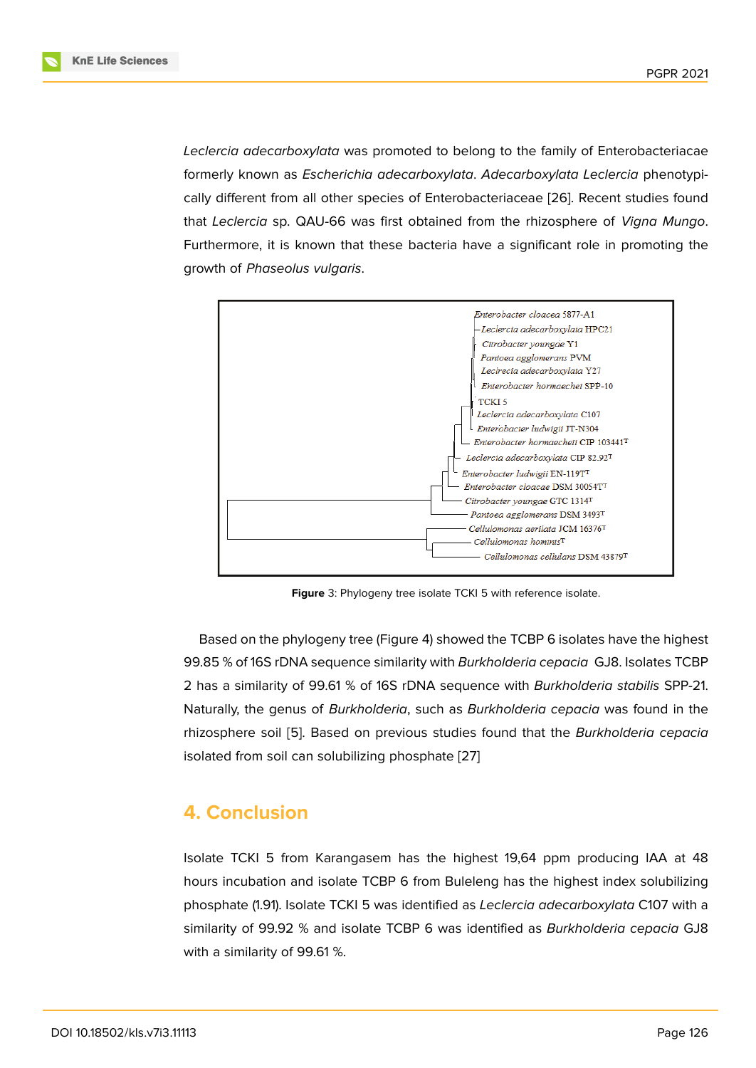*Leclercia adecarboxylata* was promoted to belong to the family of Enterobacteriacae formerly known as *Escherichia adecarboxylata*. *Adecarboxylata Leclercia* phenotypically different from all other species of Enterobacteriaceae [26]. Recent studies found that *Leclercia* sp. QAU-66 was first obtained from the rhizosphere of *Vigna Mungo*. Furthermore, it is known that these bacteria have a significant role in promoting the growth of *Phaseolus vulgaris*.



**Figure** 3: Phylogeny tree isolate TCKI 5 with reference isolate.

Based on the phylogeny tree (Figure 4) showed the TCBP 6 isolates have the highest 99.85 % of 16S rDNA sequence similarity with *Burkholderia cepacia* GJ8. Isolates TCBP 2 has a similarity of 99.61 % of 16S rDNA sequence with *Burkholderia stabilis* SPP-21. Naturally, the genus of *Burkholderia*, s[uc](#page-8-6)h as *Burkholderia cepacia* was found in the rhizosphere soil [5]. Based on previous studies found that the *Burkholderia cepacia* isolated from soil can solubilizing phosphate [27]

# **4. Conclusi[on](#page-8-3)**

Isolate TCKI 5 from Karangasem has the highest 19,64 ppm producing IAA at 48 hours incubation and isolate TCBP 6 from Buleleng has the highest index solubilizing phosphate (1.91). Isolate TCKI 5 was identified as *Leclercia adecarboxylata* C107 with a similarity of 99.92 % and isolate TCBP 6 was identified as *Burkholderia cepacia* GJ8 with a similarity of 99.61 %.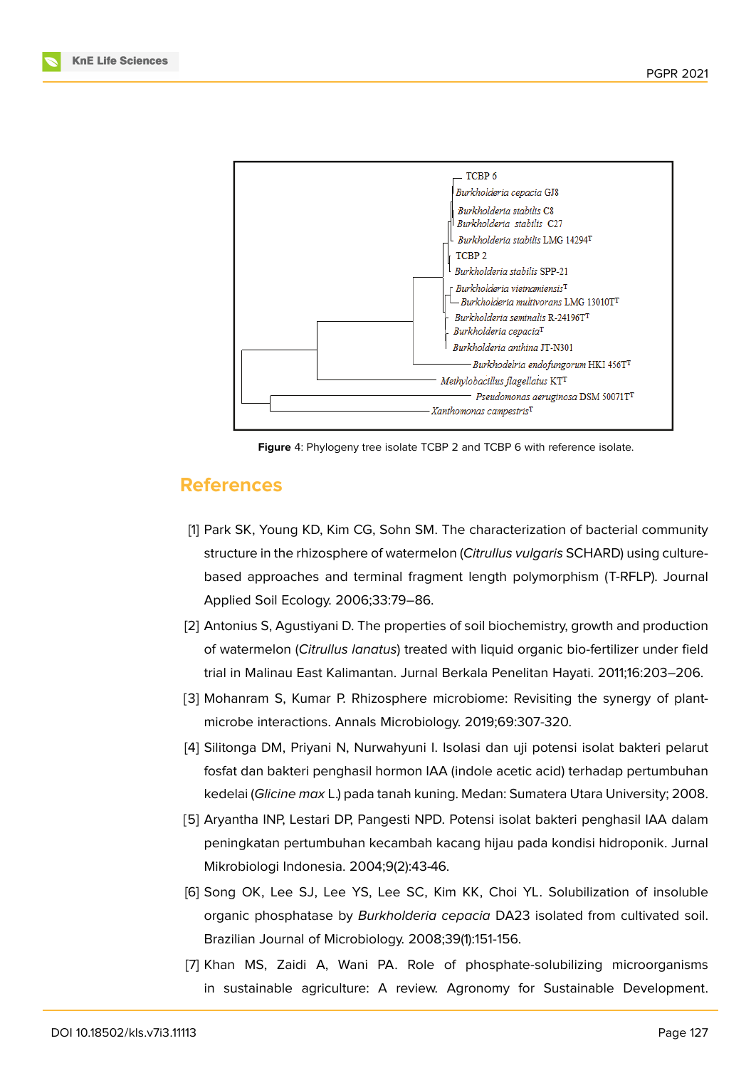

<span id="page-8-6"></span>**Figure** 4: Phylogeny tree isolate TCBP 2 and TCBP 6 with reference isolate.

#### **References**

- <span id="page-8-0"></span>[1] Park SK, Young KD, Kim CG, Sohn SM. The characterization of bacterial community structure in the rhizosphere of watermelon (*Citrullus vulgaris* SCHARD) using culturebased approaches and terminal fragment length polymorphism (T-RFLP). Journal Applied Soil Ecology. 2006;33:79–86.
- [2] Antonius S, Agustiyani D. The properties of soil biochemistry, growth and production of watermelon (*Citrullus lanatus*) treated with liquid organic bio-fertilizer under field trial in Malinau East Kalimantan. Jurnal Berkala Penelitan Hayati. 2011;16:203–206.
- <span id="page-8-1"></span>[3] Mohanram S, Kumar P. Rhizosphere microbiome: Revisiting the synergy of plantmicrobe interactions. Annals Microbiology. 2019;69:307-320.
- <span id="page-8-2"></span>[4] Silitonga DM, Priyani N, Nurwahyuni I. Isolasi dan uji potensi isolat bakteri pelarut fosfat dan bakteri penghasil hormon IAA (indole acetic acid) terhadap pertumbuhan kedelai (*Glicine max* L.) pada tanah kuning. Medan: Sumatera Utara University; 2008.
- <span id="page-8-3"></span>[5] Aryantha INP, Lestari DP, Pangesti NPD. Potensi isolat bakteri penghasil IAA dalam peningkatan pertumbuhan kecambah kacang hijau pada kondisi hidroponik. Jurnal Mikrobiologi Indonesia. 2004;9(2):43-46.
- <span id="page-8-4"></span>[6] Song OK, Lee SJ, Lee YS, Lee SC, Kim KK, Choi YL. Solubilization of insoluble organic phosphatase by *Burkholderia cepacia* DA23 isolated from cultivated soil. Brazilian Journal of Microbiology. 2008;39(1):151-156.
- <span id="page-8-5"></span>[7] Khan MS, Zaidi A, Wani PA. Role of phosphate-solubilizing microorganisms in sustainable agriculture: A review. Agronomy for Sustainable Development.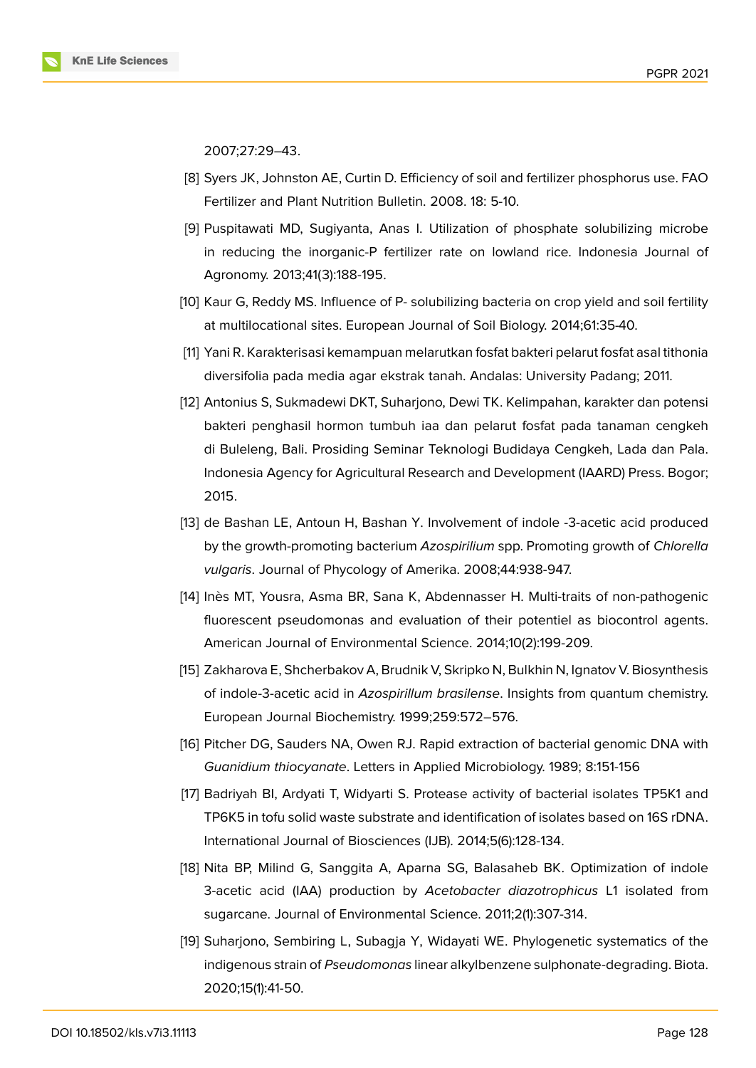2007;27:29–43.

- <span id="page-9-0"></span>[8] Syers JK, Johnston AE, Curtin D. Efficiency of soil and fertilizer phosphorus use. FAO Fertilizer and Plant Nutrition Bulletin. 2008. 18: 5-10.
- <span id="page-9-1"></span>[9] Puspitawati MD, Sugiyanta, Anas I. Utilization of phosphate solubilizing microbe in reducing the inorganic-P fertilizer rate on lowland rice. Indonesia Journal of Agronomy. 2013;41(3):188-195.
- <span id="page-9-2"></span>[10] Kaur G, Reddy MS. Influence of P- solubilizing bacteria on crop yield and soil fertility at multilocational sites. European Journal of Soil Biology. 2014;61:35-40.
- [11] Yani R. Karakterisasi kemampuan melarutkan fosfat bakteri pelarut fosfat asal tithonia diversifolia pada media agar ekstrak tanah. Andalas: University Padang; 2011.
- <span id="page-9-8"></span>[12] Antonius S, Sukmadewi DKT, Suharjono, Dewi TK. Kelimpahan, karakter dan potensi bakteri penghasil hormon tumbuh iaa dan pelarut fosfat pada tanaman cengkeh di Buleleng, Bali. Prosiding Seminar Teknologi Budidaya Cengkeh, Lada dan Pala. Indonesia Agency for Agricultural Research and Development (IAARD) Press. Bogor; 2015.
- <span id="page-9-3"></span>[13] de Bashan LE, Antoun H, Bashan Y. Involvement of indole -3-acetic acid produced by the growth-promoting bacterium *Azospirilium* spp. Promoting growth of *Chlorella vulgaris*. Journal of Phycology of Amerika. 2008;44:938-947.
- <span id="page-9-4"></span>[14] Inès MT, Yousra, Asma BR, Sana K, Abdennasser H. Multi-traits of non-pathogenic fluorescent pseudomonas and evaluation of their potentiel as biocontrol agents. American Journal of Environmental Science. 2014;10(2):199-209.
- <span id="page-9-5"></span>[15] Zakharova E, Shcherbakov A, Brudnik V, Skripko N, Bulkhin N, Ignatov V. Biosynthesis of indole-3-acetic acid in *Azospirillum brasilense*. Insights from quantum chemistry. European Journal Biochemistry. 1999;259:572–576.
- <span id="page-9-6"></span>[16] Pitcher DG, Sauders NA, Owen RJ. Rapid extraction of bacterial genomic DNA with *Guanidium thiocyanate*. Letters in Applied Microbiology. 1989; 8:151-156
- <span id="page-9-7"></span>[17] Badriyah BI, Ardyati T, Widyarti S. Protease activity of bacterial isolates TP5K1 and TP6K5 in tofu solid waste substrate and identification of isolates based on 16S rDNA. International Journal of Biosciences (IJB). 2014;5(6):128-134.
- [18] Nita BP, Milind G, Sanggita A, Aparna SG, Balasaheb BK. Optimization of indole 3-acetic acid (IAA) production by *Acetobacter diazotrophicus* L1 isolated from sugarcane. Journal of Environmental Science. 2011;2(1):307-314.
- [19] Suharjono, Sembiring L, Subagja Y, Widayati WE. Phylogenetic systematics of the indigenous strain of *Pseudomonas* linear alkylbenzene sulphonate-degrading. Biota. 2020;15(1):41-50.